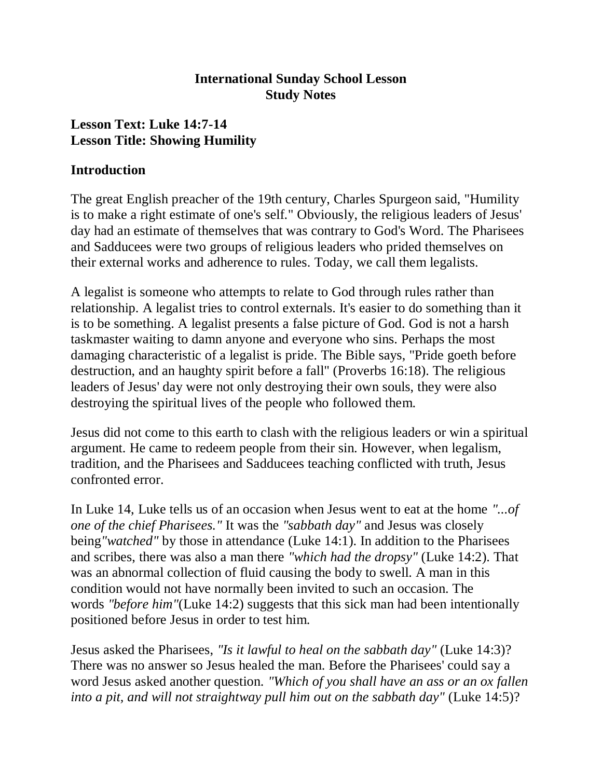#### **International Sunday School Lesson Study Notes**

#### **Lesson Text: Luke 14:7-14 Lesson Title: Showing Humility**

#### **Introduction**

The great English preacher of the 19th century, Charles Spurgeon said, "Humility is to make a right estimate of one's self." Obviously, the religious leaders of Jesus' day had an estimate of themselves that was contrary to God's Word. The Pharisees and Sadducees were two groups of religious leaders who prided themselves on their external works and adherence to rules. Today, we call them legalists.

A legalist is someone who attempts to relate to God through rules rather than relationship. A legalist tries to control externals. It's easier to do something than it is to be something. A legalist presents a false picture of God. God is not a harsh taskmaster waiting to damn anyone and everyone who sins. Perhaps the most damaging characteristic of a legalist is pride. The Bible says, "Pride goeth before destruction, and an haughty spirit before a fall" (Proverbs 16:18). The religious leaders of Jesus' day were not only destroying their own souls, they were also destroying the spiritual lives of the people who followed them.

Jesus did not come to this earth to clash with the religious leaders or win a spiritual argument. He came to redeem people from their sin. However, when legalism, tradition, and the Pharisees and Sadducees teaching conflicted with truth, Jesus confronted error.

In Luke 14, Luke tells us of an occasion when Jesus went to eat at the home *"...of one of the chief Pharisees."* It was the *"sabbath day"* and Jesus was closely being*"watched"* by those in attendance (Luke 14:1). In addition to the Pharisees and scribes, there was also a man there *"which had the dropsy"* (Luke 14:2). That was an abnormal collection of fluid causing the body to swell. A man in this condition would not have normally been invited to such an occasion. The words *"before him"*(Luke 14:2) suggests that this sick man had been intentionally positioned before Jesus in order to test him.

Jesus asked the Pharisees, *"Is it lawful to heal on the sabbath day"* (Luke 14:3)? There was no answer so Jesus healed the man. Before the Pharisees' could say a word Jesus asked another question. *"Which of you shall have an ass or an ox fallen into a pit, and will not straightway pull him out on the sabbath day"* (Luke 14:5)?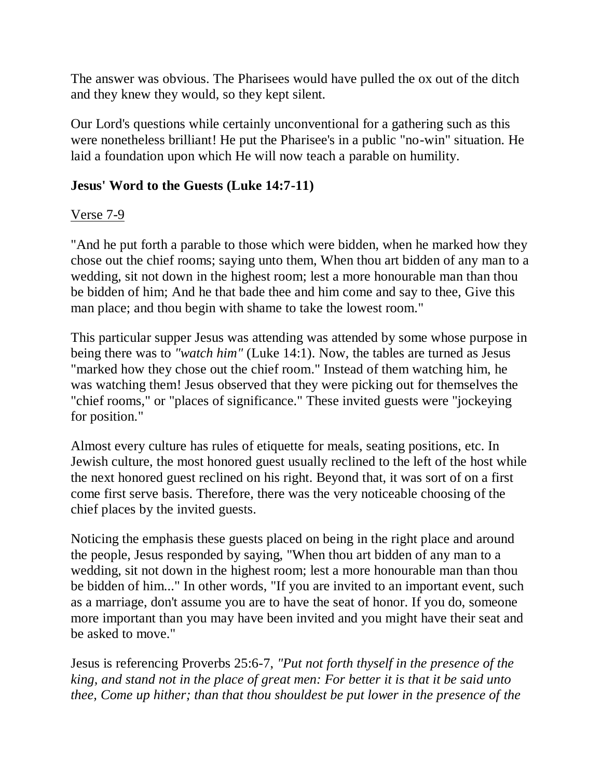The answer was obvious. The Pharisees would have pulled the ox out of the ditch and they knew they would, so they kept silent.

Our Lord's questions while certainly unconventional for a gathering such as this were nonetheless brilliant! He put the Pharisee's in a public "no-win" situation. He laid a foundation upon which He will now teach a parable on humility.

## **Jesus' Word to the Guests (Luke 14:7-11)**

#### Verse 7-9

"And he put forth a parable to those which were bidden, when he marked how they chose out the chief rooms; saying unto them, When thou art bidden of any man to a wedding, sit not down in the highest room; lest a more honourable man than thou be bidden of him; And he that bade thee and him come and say to thee, Give this man place; and thou begin with shame to take the lowest room."

This particular supper Jesus was attending was attended by some whose purpose in being there was to *"watch him"* (Luke 14:1). Now, the tables are turned as Jesus "marked how they chose out the chief room." Instead of them watching him, he was watching them! Jesus observed that they were picking out for themselves the "chief rooms," or "places of significance." These invited guests were "jockeying for position."

Almost every culture has rules of etiquette for meals, seating positions, etc. In Jewish culture, the most honored guest usually reclined to the left of the host while the next honored guest reclined on his right. Beyond that, it was sort of on a first come first serve basis. Therefore, there was the very noticeable choosing of the chief places by the invited guests.

Noticing the emphasis these guests placed on being in the right place and around the people, Jesus responded by saying, "When thou art bidden of any man to a wedding, sit not down in the highest room; lest a more honourable man than thou be bidden of him..." In other words, "If you are invited to an important event, such as a marriage, don't assume you are to have the seat of honor. If you do, someone more important than you may have been invited and you might have their seat and be asked to move."

Jesus is referencing Proverbs 25:6-7, *"Put not forth thyself in the presence of the king, and stand not in the place of great men: For better it is that it be said unto thee, Come up hither; than that thou shouldest be put lower in the presence of the*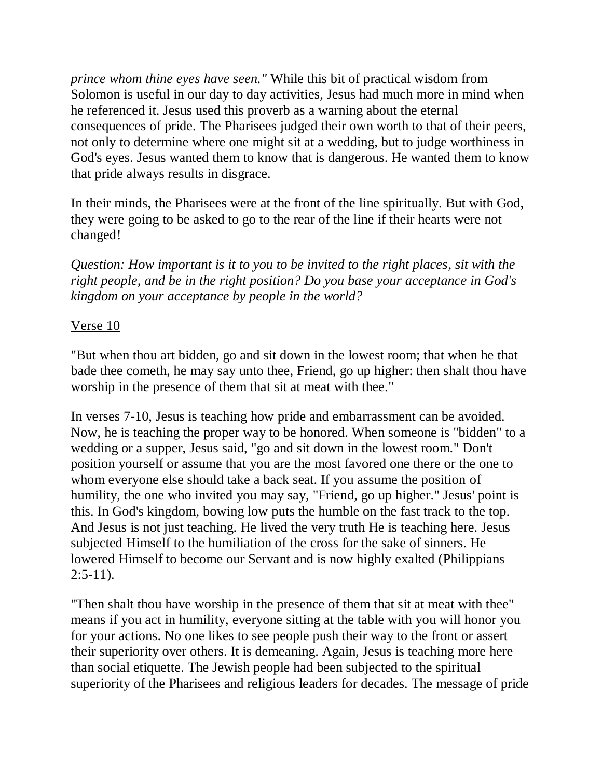*prince whom thine eyes have seen."* While this bit of practical wisdom from Solomon is useful in our day to day activities, Jesus had much more in mind when he referenced it. Jesus used this proverb as a warning about the eternal consequences of pride. The Pharisees judged their own worth to that of their peers, not only to determine where one might sit at a wedding, but to judge worthiness in God's eyes. Jesus wanted them to know that is dangerous. He wanted them to know that pride always results in disgrace.

In their minds, the Pharisees were at the front of the line spiritually. But with God, they were going to be asked to go to the rear of the line if their hearts were not changed!

*Question: How important is it to you to be invited to the right places, sit with the right people, and be in the right position? Do you base your acceptance in God's kingdom on your acceptance by people in the world?*

#### Verse 10

"But when thou art bidden, go and sit down in the lowest room; that when he that bade thee cometh, he may say unto thee, Friend, go up higher: then shalt thou have worship in the presence of them that sit at meat with thee."

In verses 7-10, Jesus is teaching how pride and embarrassment can be avoided. Now, he is teaching the proper way to be honored. When someone is "bidden" to a wedding or a supper, Jesus said, "go and sit down in the lowest room." Don't position yourself or assume that you are the most favored one there or the one to whom everyone else should take a back seat. If you assume the position of humility, the one who invited you may say, "Friend, go up higher." Jesus' point is this. In God's kingdom, bowing low puts the humble on the fast track to the top. And Jesus is not just teaching. He lived the very truth He is teaching here. Jesus subjected Himself to the humiliation of the cross for the sake of sinners. He lowered Himself to become our Servant and is now highly exalted (Philippians  $2:5-11$ ).

"Then shalt thou have worship in the presence of them that sit at meat with thee" means if you act in humility, everyone sitting at the table with you will honor you for your actions. No one likes to see people push their way to the front or assert their superiority over others. It is demeaning. Again, Jesus is teaching more here than social etiquette. The Jewish people had been subjected to the spiritual superiority of the Pharisees and religious leaders for decades. The message of pride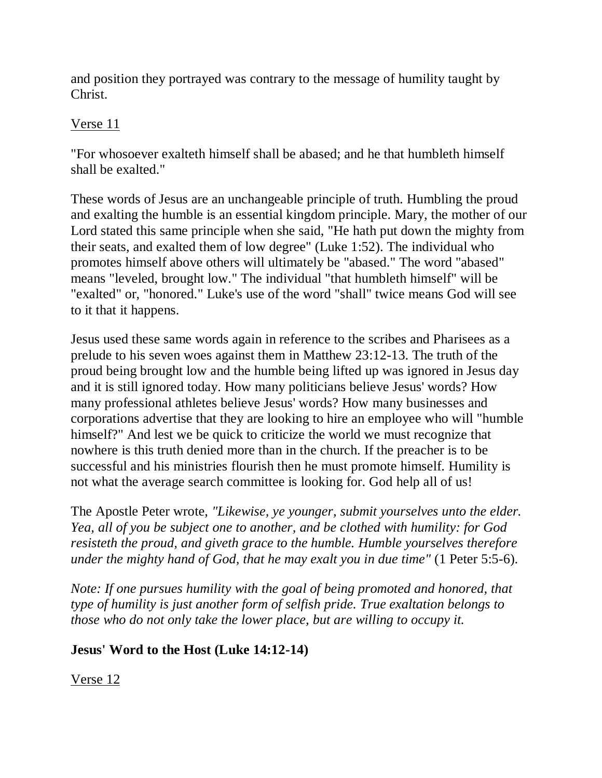and position they portrayed was contrary to the message of humility taught by Christ.

## Verse 11

"For whosoever exalteth himself shall be abased; and he that humbleth himself shall be exalted."

These words of Jesus are an unchangeable principle of truth. Humbling the proud and exalting the humble is an essential kingdom principle. Mary, the mother of our Lord stated this same principle when she said, "He hath put down the mighty from their seats, and exalted them of low degree" (Luke 1:52). The individual who promotes himself above others will ultimately be "abased." The word "abased" means "leveled, brought low." The individual "that humbleth himself" will be "exalted" or, "honored." Luke's use of the word "shall" twice means God will see to it that it happens.

Jesus used these same words again in reference to the scribes and Pharisees as a prelude to his seven woes against them in Matthew 23:12-13. The truth of the proud being brought low and the humble being lifted up was ignored in Jesus day and it is still ignored today. How many politicians believe Jesus' words? How many professional athletes believe Jesus' words? How many businesses and corporations advertise that they are looking to hire an employee who will "humble himself?" And lest we be quick to criticize the world we must recognize that nowhere is this truth denied more than in the church. If the preacher is to be successful and his ministries flourish then he must promote himself. Humility is not what the average search committee is looking for. God help all of us!

The Apostle Peter wrote, *"Likewise, ye younger, submit yourselves unto the elder. Yea, all of you be subject one to another, and be clothed with humility: for God resisteth the proud, and giveth grace to the humble. Humble yourselves therefore under the mighty hand of God, that he may exalt you in due time"* (1 Peter 5:5-6).

*Note: If one pursues humility with the goal of being promoted and honored, that type of humility is just another form of selfish pride. True exaltation belongs to those who do not only take the lower place, but are willing to occupy it.*

## **Jesus' Word to the Host (Luke 14:12-14)**

Verse 12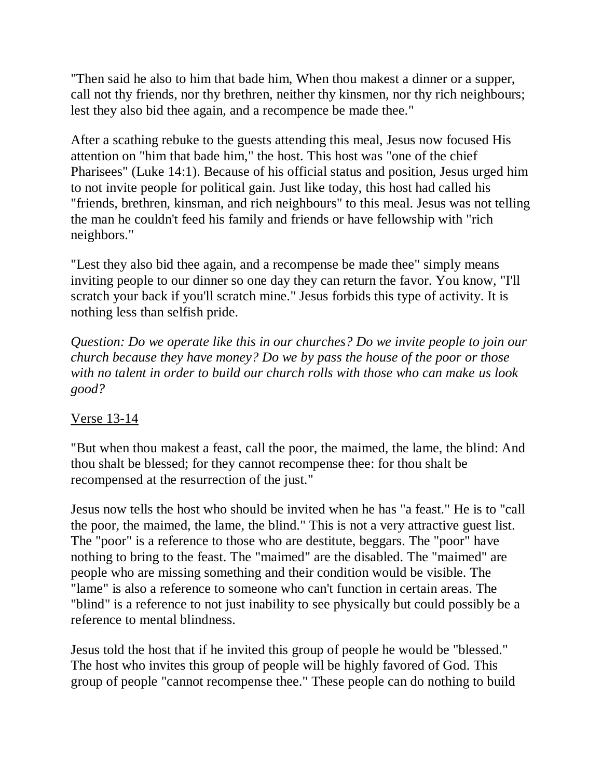"Then said he also to him that bade him, When thou makest a dinner or a supper, call not thy friends, nor thy brethren, neither thy kinsmen, nor thy rich neighbours; lest they also bid thee again, and a recompence be made thee."

After a scathing rebuke to the guests attending this meal, Jesus now focused His attention on "him that bade him," the host. This host was "one of the chief Pharisees" (Luke 14:1). Because of his official status and position, Jesus urged him to not invite people for political gain. Just like today, this host had called his "friends, brethren, kinsman, and rich neighbours" to this meal. Jesus was not telling the man he couldn't feed his family and friends or have fellowship with "rich neighbors."

"Lest they also bid thee again, and a recompense be made thee" simply means inviting people to our dinner so one day they can return the favor. You know, "I'll scratch your back if you'll scratch mine." Jesus forbids this type of activity. It is nothing less than selfish pride.

*Question: Do we operate like this in our churches? Do we invite people to join our church because they have money? Do we by pass the house of the poor or those with no talent in order to build our church rolls with those who can make us look good?*

# Verse 13-14

"But when thou makest a feast, call the poor, the maimed, the lame, the blind: And thou shalt be blessed; for they cannot recompense thee: for thou shalt be recompensed at the resurrection of the just."

Jesus now tells the host who should be invited when he has "a feast." He is to "call the poor, the maimed, the lame, the blind." This is not a very attractive guest list. The "poor" is a reference to those who are destitute, beggars. The "poor" have nothing to bring to the feast. The "maimed" are the disabled. The "maimed" are people who are missing something and their condition would be visible. The "lame" is also a reference to someone who can't function in certain areas. The "blind" is a reference to not just inability to see physically but could possibly be a reference to mental blindness.

Jesus told the host that if he invited this group of people he would be "blessed." The host who invites this group of people will be highly favored of God. This group of people "cannot recompense thee." These people can do nothing to build